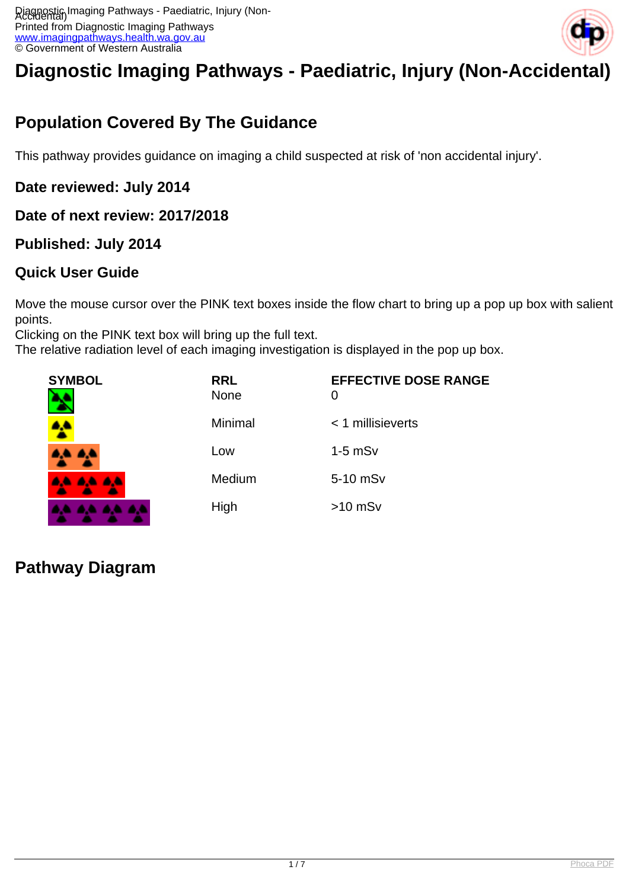

# **Diagnostic Imaging Pathways - Paediatric, Injury (Non-Accidental)**

# **Population Covered By The Guidance**

This pathway provides guidance on imaging a child suspected at risk of 'non accidental injury'.

#### **Date reviewed: July 2014**

#### **Date of next review: 2017/2018**

#### **Published: July 2014**

#### **Quick User Guide**

Move the mouse cursor over the PINK text boxes inside the flow chart to bring up a pop up box with salient points.

Clicking on the PINK text box will bring up the full text.

The relative radiation level of each imaging investigation is displayed in the pop up box.

| <b>SYMBOL</b>   | <b>RRL</b><br>None | <b>EFFECTIVE DOSE RANGE</b><br>0 |
|-----------------|--------------------|----------------------------------|
|                 | Minimal            | $<$ 1 millisieverts              |
| <b>A.A.A.A.</b> | Low                | $1-5$ mS $v$                     |
| AA AA AA        | Medium             | 5-10 mSv                         |
| <b>AND</b>      | High               | $>10$ mSv                        |

### **Pathway Diagram**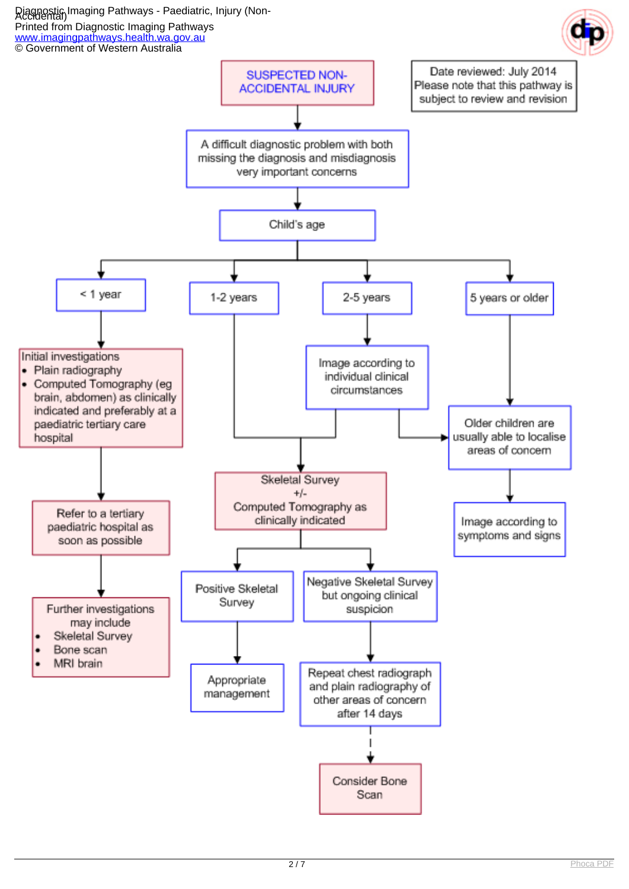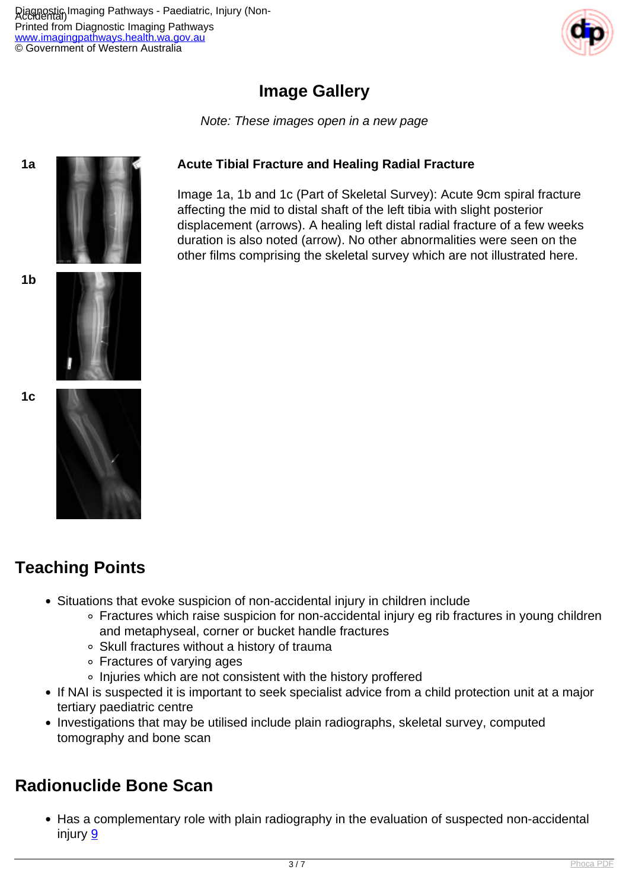

### **Image Gallery**

Note: These images open in a new page

#### **1a Acute Tibial Fracture and Healing Radial Fracture**

Image 1a, 1b and 1c (Part of Skeletal Survey): Acute 9cm spiral fracture affecting the mid to distal shaft of the left tibia with slight posterior displacement (arrows). A healing left distal radial fracture of a few weeks duration is also noted (arrow). No other abnormalities were seen on the other films comprising the skeletal survey which are not illustrated here.





**1c**



### **Teaching Points**

- Situations that evoke suspicion of non-accidental injury in children include
	- Fractures which raise suspicion for non-accidental injury eg rib fractures in young children and metaphyseal, corner or bucket handle fractures
	- Skull fractures without a history of trauma
	- Fractures of varying ages
	- Injuries which are not consistent with the history proffered
- If NAI is suspected it is important to seek specialist advice from a child protection unit at a major tertiary paediatric centre
- Investigations that may be utilised include plain radiographs, skeletal survey, computed tomography and bone scan

### **Radionuclide Bone Scan**

Has a complementary role with plain radiography in the evaluation of suspected non-accidental injury [9](index.php?option=com_content&view=article&id=189&tab=references#9)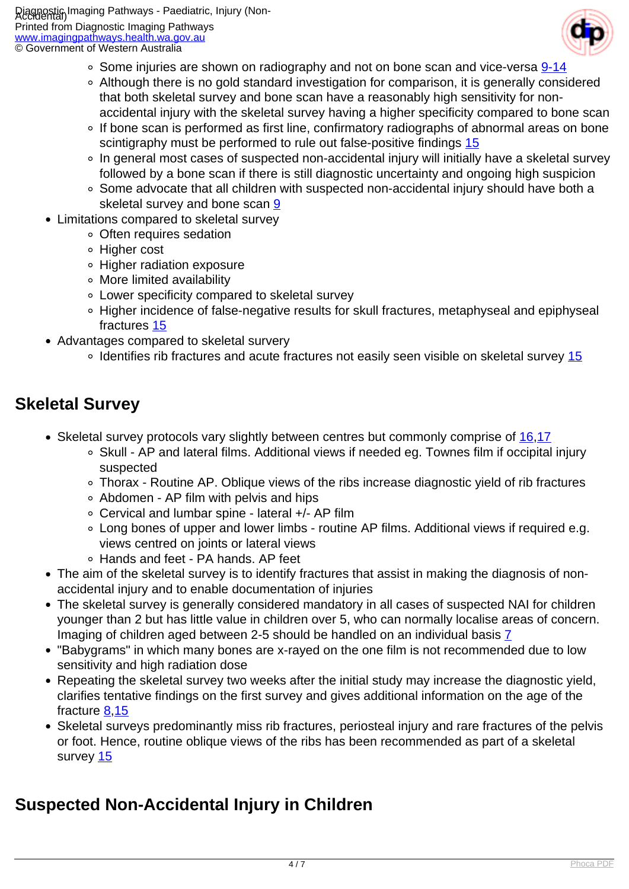Printed from Diagnostic Imaging Pathways <u>ww.imagingpathways.health.wa.gov.au</u> © Government of Western Australia



- Some injuries are shown on radiography and not on bone scan and vice-versa [9-14](index.php?option=com_content&view=article&id=189&tab=references#9)
- Although there is no gold standard investigation for comparison, it is generally considered that both skeletal survey and bone scan have a reasonably high sensitivity for nonaccidental injury with the skeletal survey having a higher specificity compared to bone scan
- If bone scan is performed as first line, confirmatory radiographs of abnormal areas on bone scintigraphy must be performed to rule out false-positive findings [15](index.php?option=com_content&view=article&id=189&tab=references#15)
- In general most cases of suspected non-accidental injury will initially have a skeletal survey followed by a bone scan if there is still diagnostic uncertainty and ongoing high suspicion
- Some advocate that all children with suspected non-accidental injury should have both a skeletal survey and bone scan [9](index.php?option=com_content&view=article&id=189&tab=references#9)
- Limitations compared to skeletal survey
	- Often requires sedation
	- Higher cost
	- Higher radiation exposure
	- More limited availability
	- Lower specificity compared to skeletal survey
	- Higher incidence of false-negative results for skull fractures, metaphyseal and epiphyseal fractures [15](index.php?option=com_content&view=article&id=189&tab=references#15)
- Advantages compared to skeletal survery
	- $\circ$  Identifies rib fractures and acute fractures not easily seen visible on skeletal survey [15](index.php?option=com_content&view=article&id=189&tab=references#15)

# **Skeletal Survey**

- Skeletal survey protocols vary slightly between centres but commonly comprise of [16](index.php?option=com_content&view=article&id=189&tab=references#16)[,17](index.php?option=com_content&view=article&id=189&tab=references#17)
	- Skull AP and lateral films. Additional views if needed eg. Townes film if occipital injury suspected
	- Thorax Routine AP. Oblique views of the ribs increase diagnostic yield of rib fractures
	- Abdomen AP film with pelvis and hips
	- Cervical and lumbar spine lateral +/- AP film
	- Long bones of upper and lower limbs routine AP films. Additional views if required e.g. views centred on joints or lateral views
	- Hands and feet PA hands. AP feet
- The aim of the skeletal survey is to identify fractures that assist in making the diagnosis of nonaccidental injury and to enable documentation of injuries
- The skeletal survey is generally considered mandatory in all cases of suspected NAI for children younger than 2 but has little value in children over 5, who can normally localise areas of concern. Imaging of children aged between 2-5 should be handled on an individual basis  $\overline{I}$
- "Babygrams" in which many bones are x-rayed on the one film is not recommended due to low sensitivity and high radiation dose
- Repeating the skeletal survey two weeks after the initial study may increase the diagnostic yield, clarifies tentative findings on the first survey and gives additional information on the age of the fracture [8](index.php?option=com_content&view=article&id=189&tab=references#8)[,15](index.php?option=com_content&view=article&id=189&tab=references#15)
- Skeletal surveys predominantly miss rib fractures, periosteal injury and rare fractures of the pelvis or foot. Hence, routine oblique views of the ribs has been recommended as part of a skeletal survey [15](index.php?option=com_content&view=article&id=189&tab=references#15)

## **Suspected Non-Accidental Injury in Children**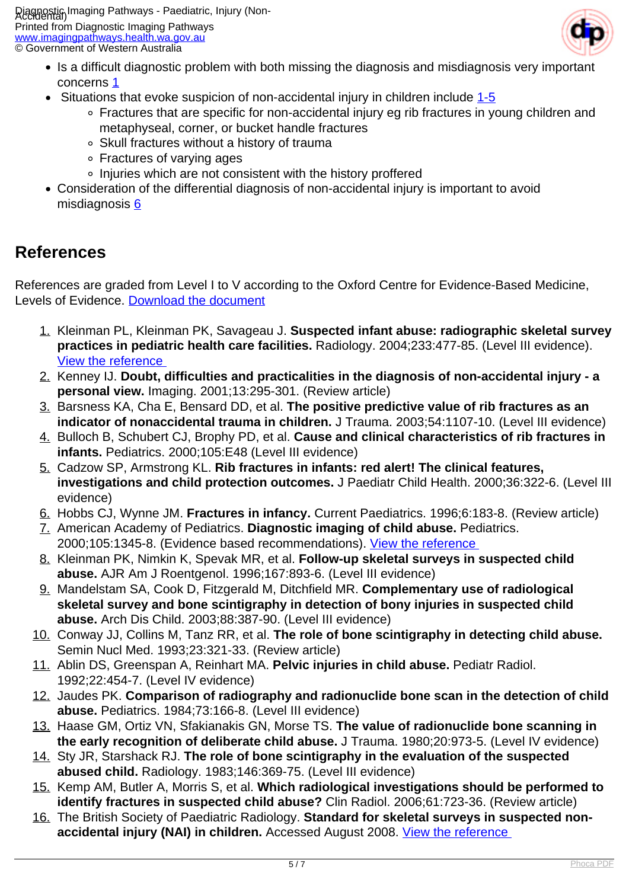Printed from Diagnostic Imaging Pathways [www.imagingpathways.health.wa.gov.au](http://www.imagingpathways.health.wa.gov.au/) © Government of Western Australia



- Is a difficult diagnostic problem with both missing the diagnosis and misdiagnosis very important concerns [1](index.php?option=com_content&view=article&id=189&tab=references#1)
- $\bullet$  Situations that evoke suspicion of non-accidental injury in children include  $1-5$ 
	- Fractures that are specific for non-accidental injury eg rib fractures in young children and metaphyseal, corner, or bucket handle fractures
	- Skull fractures without a history of trauma
	- Fractures of varying ages
	- Injuries which are not consistent with the history proffered
- Consideration of the differential diagnosis of non-accidental injury is important to avoid misdiagnosis [6](index.php?option=com_content&view=article&id=189&tab=references#6)

### **References**

References are graded from Level I to V according to the Oxford Centre for Evidence-Based Medicine, Levels of Evidence. [Download the document](http://www.cebm.net/wp-content/uploads/2014/06/CEBM-Levels-of-Evidence-2.1.pdf)

- 1. Kleinman PL, Kleinman PK, Savageau J. **Suspected infant abuse: radiographic skeletal survey practices in pediatric health care facilities.** Radiology. 2004;233:477-85. (Level III evidence). [View the reference](http://www.ncbi.nlm.nih.gov/entrez/query.fcgi?orig_db=PubMed&db=PubMed&cmd=Search&defaultField=Title+Word&term=Suspected+Infant+Abuse%3A+Radiographic+Skeletal+Survey+Practices+in+Pediatric+Health+Care+Facilities)
- 2. Kenney IJ. **Doubt, difficulties and practicalities in the diagnosis of non-accidental injury a personal view.** Imaging. 2001;13:295-301. (Review article)
- 3. Barsness KA, Cha E, Bensard DD, et al. **The positive predictive value of rib fractures as an indicator of nonaccidental trauma in children.** J Trauma. 2003;54:1107-10. (Level III evidence)
- 4. Bulloch B, Schubert CJ, Brophy PD, et al. **Cause and clinical characteristics of rib fractures in infants.** Pediatrics. 2000;105:E48 (Level III evidence)
- 5. Cadzow SP, Armstrong KL. **Rib fractures in infants: red alert! The clinical features, investigations and child protection outcomes.** J Paediatr Child Health. 2000;36:322-6. (Level III evidence)
- 6. Hobbs CJ, Wynne JM. **Fractures in infancy.** Current Paediatrics. 1996;6:183-8. (Review article)
- 7. American Academy of Pediatrics. **Diagnostic imaging of child abuse.** Pediatrics. 2000;105:1345-8. (Evidence based recommendations). [View the reference](http://www.ncbi.nlm.nih.gov/entrez/query.fcgi?db=pubmed&cmd=Retrieve&dopt=AbstractPlus&list_uids=10835079&query_hl=43&itool=pubmed_docsum)
- 8. Kleinman PK, Nimkin K, Spevak MR, et al. **Follow-up skeletal surveys in suspected child abuse.** AJR Am J Roentgenol. 1996;167:893-6. (Level III evidence)
- 9. Mandelstam SA, Cook D, Fitzgerald M, Ditchfield MR. **Complementary use of radiological skeletal survey and bone scintigraphy in detection of bony injuries in suspected child abuse.** Arch Dis Child. 2003;88:387-90. (Level III evidence)
- 10. Conway JJ, Collins M, Tanz RR, et al. **The role of bone scintigraphy in detecting child abuse.** Semin Nucl Med. 1993;23:321-33. (Review article)
- 11. Ablin DS, Greenspan A, Reinhart MA. **Pelvic injuries in child abuse.** Pediatr Radiol. 1992;22:454-7. (Level IV evidence)
- 12. Jaudes PK. **Comparison of radiography and radionuclide bone scan in the detection of child abuse.** Pediatrics. 1984;73:166-8. (Level III evidence)
- 13. Haase GM, Ortiz VN, Sfakianakis GN, Morse TS. **The value of radionuclide bone scanning in the early recognition of deliberate child abuse.** J Trauma. 1980;20:973-5. (Level IV evidence)
- 14. Sty JR, Starshack RJ. **The role of bone scintigraphy in the evaluation of the suspected abused child.** Radiology. 1983;146:369-75. (Level III evidence)
- 15. Kemp AM, Butler A, Morris S, et al. **Which radiological investigations should be performed to identify fractures in suspected child abuse?** Clin Radiol. 2006;61:723-36. (Review article)
- 16. The British Society of Paediatric Radiology. **Standard for skeletal surveys in suspected nonaccidental injury (NAI) in children.** Accessed August 2008. View the reference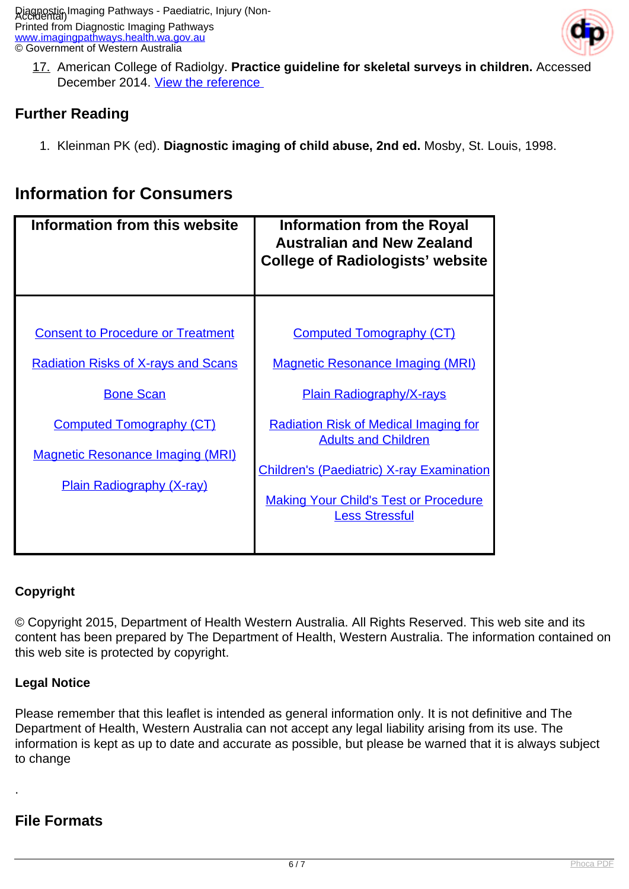

17. American College of Radiolgy. **Practice guideline for skeletal surveys in children.** Accessed December 2014. [View the reference](http://www.acr.org/~/media/9bdcdbee99b84e87baac2b1695bc07b6.pdf) 

#### **Further Reading**

1. Kleinman PK (ed). **Diagnostic imaging of child abuse, 2nd ed.** Mosby, St. Louis, 1998.

### **Information for Consumers**

| Information from this website                                               | <b>Information from the Royal</b><br><b>Australian and New Zealand</b><br><b>College of Radiologists' website</b> |
|-----------------------------------------------------------------------------|-------------------------------------------------------------------------------------------------------------------|
| <b>Consent to Procedure or Treatment</b>                                    | <b>Computed Tomography (CT)</b>                                                                                   |
| <b>Radiation Risks of X-rays and Scans</b><br><b>Bone Scan</b>              | <b>Magnetic Resonance Imaging (MRI)</b><br><b>Plain Radiography/X-rays</b>                                        |
| <b>Computed Tomography (CT)</b>                                             | <b>Radiation Risk of Medical Imaging for</b><br><b>Adults and Children</b>                                        |
| <b>Magnetic Resonance Imaging (MRI)</b><br><b>Plain Radiography (X-ray)</b> | <b>Children's (Paediatric) X-ray Examination</b><br><b>Making Your Child's Test or Procedure</b>                  |
|                                                                             | <b>Less Stressful</b>                                                                                             |

#### **Copyright**

© Copyright 2015, Department of Health Western Australia. All Rights Reserved. This web site and its content has been prepared by The Department of Health, Western Australia. The information contained on this web site is protected by copyright.

#### **Legal Notice**

Please remember that this leaflet is intended as general information only. It is not definitive and The Department of Health, Western Australia can not accept any legal liability arising from its use. The information is kept as up to date and accurate as possible, but please be warned that it is always subject to change

#### **File Formats**

.